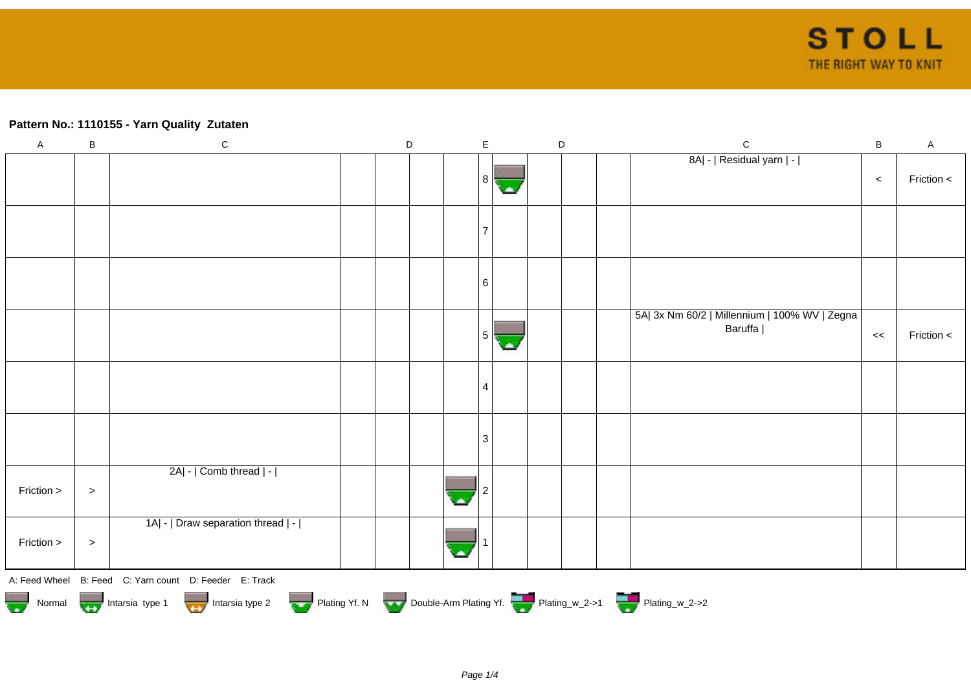## **Pattern No.: 1110155 - Yarn Quality Zutaten**

| $\mathsf{A}$                                                                                         | $\sf B$ | ${\bf C}$                                              |  | D |  | $\mathsf E$ |  | $\mathsf D$ |  |  | $\mathsf C$                                              | $\sf B$ | $\mathsf A$ |
|------------------------------------------------------------------------------------------------------|---------|--------------------------------------------------------|--|---|--|-------------|--|-------------|--|--|----------------------------------------------------------|---------|-------------|
|                                                                                                      |         |                                                        |  |   |  | 8           |  |             |  |  | 8A  -   Residual yarn   -                                | $\prec$ | Friction <  |
|                                                                                                      |         |                                                        |  |   |  |             |  |             |  |  |                                                          |         |             |
|                                                                                                      |         |                                                        |  |   |  | 6           |  |             |  |  |                                                          |         |             |
|                                                                                                      |         |                                                        |  |   |  | 5           |  |             |  |  | 5A  3x Nm 60/2   Millennium   100% WV   Zegna<br>Baruffa | <<      | Friction <  |
|                                                                                                      |         |                                                        |  |   |  | 4           |  |             |  |  |                                                          |         |             |
|                                                                                                      |         |                                                        |  |   |  | 3           |  |             |  |  |                                                          |         |             |
| Friction >                                                                                           | $\,>$   | 2A  -   Comb thread   -                                |  |   |  |             |  |             |  |  |                                                          |         |             |
| Friction >                                                                                           | $\,>$   | 1A  -   Draw separation thread   -                     |  |   |  |             |  |             |  |  |                                                          |         |             |
|                                                                                                      |         | A: Feed Wheel B: Feed C: Yarn count D: Feeder E: Track |  |   |  |             |  |             |  |  |                                                          |         |             |
| Normal Intarsia type 1 Intarsia type 2 Plating Yf. N Double-Arm Plating Yf. N Double-Arm Plating Yf. |         |                                                        |  |   |  |             |  |             |  |  |                                                          |         |             |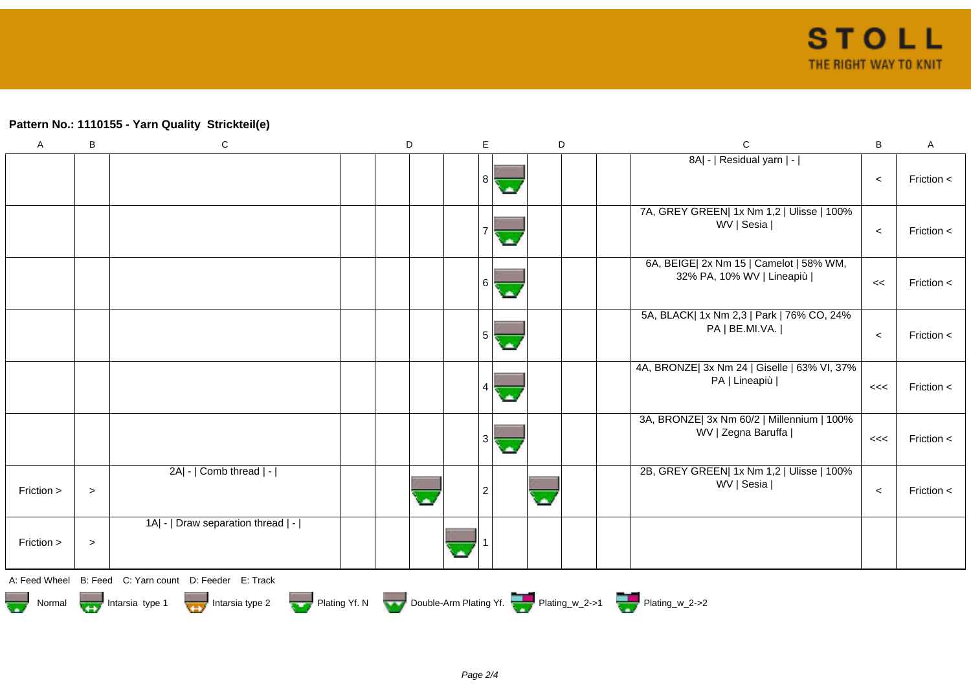## **Pattern No.: 1110155 - Yarn Quality Strickteil(e)**

| $\mathsf A$ | B      | ${\bf C}$                                                                               | $\mathsf D$ | E  | D  | $\mathsf{C}$                                                         | $\, {\bf B}$ | $\sf A$    |
|-------------|--------|-----------------------------------------------------------------------------------------|-------------|----|----|----------------------------------------------------------------------|--------------|------------|
|             |        |                                                                                         |             | 8  |    | 8A  -   Residual yarn   -                                            | $\,<$        | Friction < |
|             |        |                                                                                         |             |    |    | 7A, GREY GREEN  1x Nm 1,2   Ulisse   100%<br>WV   Sesia              | $\,<$        | Friction < |
|             |        |                                                                                         |             | 61 |    | 6A, BEIGE  2x Nm 15   Camelot   58% WM,<br>32% PA, 10% WV   Lineapiù | <<           | Friction < |
|             |        |                                                                                         |             | 5  |    | 5A, BLACK  1x Nm 2,3   Park   76% CO, 24%<br>PA   BE.MI.VA.          | $\,<$        | Friction < |
|             |        |                                                                                         |             |    |    | 4A, BRONZE  3x Nm 24   Giselle   63% VI, 37%<br>PA   Lineapiù        | <<           | Friction < |
|             |        |                                                                                         |             | 3  |    | 3A, BRONZE  3x Nm 60/2   Millennium   100%<br>WV   Zegna Baruffa     | <<           | Friction < |
| Friction >  | $\,>$  | 2A  -   Comb thread   -                                                                 |             | 2  | ω. | 2B, GREY GREEN  1x Nm 1,2   Ulisse   100%<br>WV   Sesia              | $\,<$        | Friction < |
| Friction >  | $\geq$ | 1A  -   Draw separation thread   -                                                      |             |    |    |                                                                      |              |            |
|             |        | A: Feed Wheel B: Feed C: Yarn count D: Feeder E: Track                                  |             |    |    |                                                                      |              |            |
| Normal      |        | Intarsia type 1 Intarsia type 2 Plating Yf. N Double-Arm Plating Yf. The Plating w_2->1 |             |    |    |                                                                      |              |            |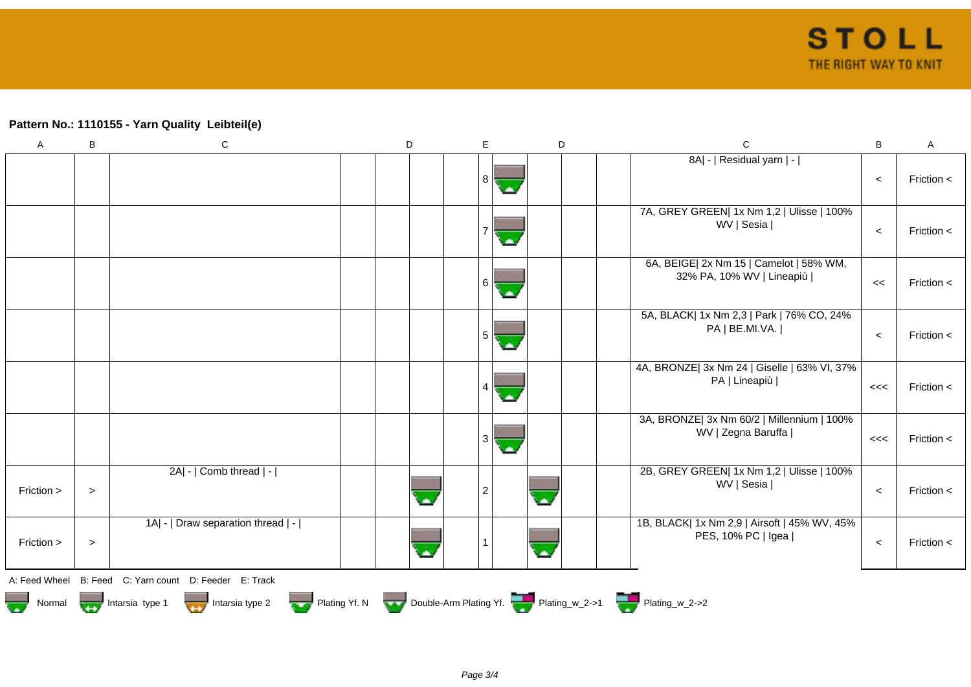## **Pattern No.: 1110155 - Yarn Quality Leibteil(e)**

| $\boldsymbol{\mathsf{A}}$ | B     | $\mathbf C$                                                                                 | D | E              | D | $\mathsf C$                                                          | $\sf B$ | A              |
|---------------------------|-------|---------------------------------------------------------------------------------------------|---|----------------|---|----------------------------------------------------------------------|---------|----------------|
|                           |       |                                                                                             |   | 8              |   | 8A  -   Residual yarn   -                                            | $\,<$   | Friction <     |
|                           |       |                                                                                             |   |                |   | 7A, GREY GREEN  1x Nm 1,2   Ulisse   100%<br>WV   Sesia              | $\,<$   | Friction <     |
|                           |       |                                                                                             |   | 6.             |   | 6A, BEIGE  2x Nm 15   Camelot   58% WM,<br>32% PA, 10% WV   Lineapiù | <<      | Friction <     |
|                           |       |                                                                                             |   |                |   | 5A, BLACK  1x Nm 2,3   Park   76% CO, 24%<br>PA   BE.MI.VA.          | $\,<$   | Friction $\lt$ |
|                           |       |                                                                                             |   |                |   | 4A, BRONZE  3x Nm 24   Giselle   63% VI, 37%<br>PA   Lineapiù        | <<      | Friction <     |
|                           |       |                                                                                             |   |                |   | 3A, BRONZE  3x Nm 60/2   Millennium   100%<br>WV   Zegna Baruffa     | <<      | Friction <     |
| Friction >                | $\,>$ | 2A  -   Comb thread   -                                                                     |   | $\overline{2}$ |   | 2B, GREY GREEN  1x Nm 1,2   Ulisse   100%<br>WV   Sesia              | $\,<$   | Friction <     |
| Friction >                | $\,>$ | 1A  -   Draw separation thread   -                                                          |   | 1              |   | 1B, BLACK  1x Nm 2,9   Airsoft   45% WV, 45%<br>PES, 10% PC   Igea   | $\prec$ | Friction $\lt$ |
| A: Feed Wheel             |       | B: Feed C: Yarn count D: Feeder E: Track                                                    |   |                |   |                                                                      |         |                |
|                           |       | Normal <b>Double-Arm Plating Yf. N</b> Double-Arm Plating Yf. N Double-Arm Plating Yf. 2->1 |   |                |   |                                                                      |         |                |